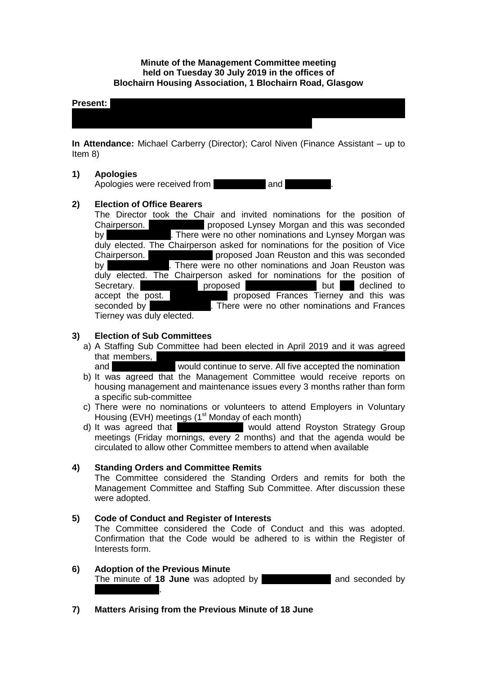### **Minute of the Management Committee meeting held on Tuesday 30 July 2019 in the offices of Blochairn Housing Association, 1 Blochairn Road, Glasgow**

#### **Present:** Rosemary Cairns; Lazarous Chinese Doherty; Andy Duffus; Sakina; Sakina; Sakina; Sakina; Sakina; Sakina; Sakina; Sakina; Sakina; Sakina; Sakina; Sakina; Sakina; Sakina; Sakina; Sakina; Sakina; Sakina; Sakina; Sak

**In Attendance:** Michael Carberry (Director); Carol Niven (Finance Assistant – up to Item 8)

Masih; Rose McLeish; Michelle Moore; Lynsey Morgan; Catherine Neil; Joan

#### **1) Apologies**

Apologies were received from **Manal Exhellingers** and **Exhibit** 

### **2) Election of Office Bearers**

The Director took the Chair and invited nominations for the position of Chairperson. **Journalist proposed Lynsey Morgan and this was seconded** by Frances Tierney. There were no other nominations and Lynsey Morgan was duly elected. The Chairperson asked for nominations for the position of Vice Chairperson. Frances Tierney proposed Joan Reuston and this was seconded by **Lyncan Morgan I**. There were no other nominations and Joan Reuston was duly elected. The Chairperson asked for nominations for the position of Secretary. **Journal proposed Rosemary Cairns but she declined to** accept the post. **Journal proposed Frances Tierney and this was** seconded by There were no other nominations and Frances Tierney was duly elected.

#### **3) Election of Sub Committees**

a) A Staffing Sub Committee had been elected in April 2019 and it was agreed that members,

and Frances Tierney would continue to serve. All five accepted the nomination

- b) It was agreed that the Management Committee would receive reports on housing management and maintenance issues every 3 months rather than form a specific sub-committee
- c) There were no nominations or volunteers to attend Employers in Voluntary Housing (EVH) meetings (1<sup>st</sup> Monday of each month)
- d) It was agreed that Frances Tierney would attend Royston Strategy Group meetings (Friday mornings, every 2 months) and that the agenda would be circulated to allow other Committee members to attend when available

#### **4) Standing Orders and Committee Remits**

The Committee considered the Standing Orders and remits for both the Management Committee and Staffing Sub Committee. After discussion these were adopted.

#### **5) Code of Conduct and Register of Interests**

The Committee considered the Code of Conduct and this was adopted. Confirmation that the Code would be adhered to is within the Register of Interests form.

# **6) Adoption of the Previous Minute**

The minute of **18 June** was adopted by **France Tierrance Tierney and seconded by Olga Vassiljeva**.

**7) Matters Arising from the Previous Minute of 18 June**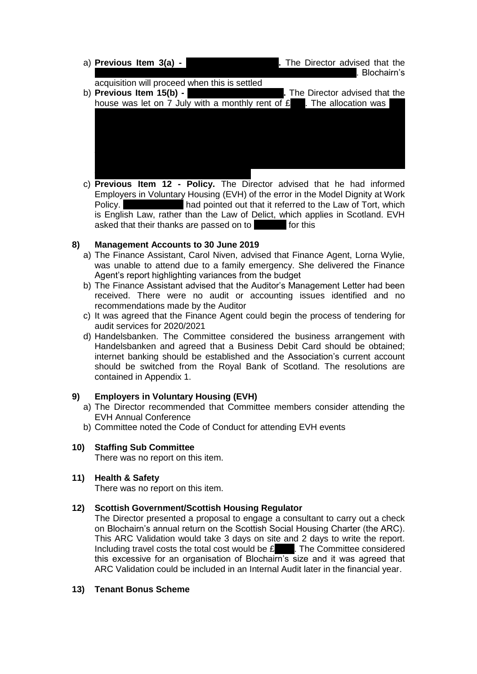| a) Previous Item $3(a)$ - |  |                                               | . The Director advised that the<br>. Blochairn's                        |
|---------------------------|--|-----------------------------------------------|-------------------------------------------------------------------------|
|                           |  | acquisition will proceed when this is settled |                                                                         |
| b) Previous Item 15(b) -  |  |                                               | . The Director advised that the                                         |
|                           |  |                                               | house was let on 7 July with a monthly rent of $E$ . The allocation was |
|                           |  |                                               |                                                                         |
|                           |  |                                               |                                                                         |
|                           |  |                                               |                                                                         |
|                           |  |                                               |                                                                         |
|                           |  |                                               |                                                                         |
|                           |  |                                               |                                                                         |
|                           |  |                                               |                                                                         |

c) **Previous Item 12 - Policy.** The Director advised that he had informed Employers in Voluntary Housing (EVH) of the error in the Model Dignity at Work Policy. Mich Moore had pointed out that it referred to the Law of Tort, which is English Law, rather than the Law of Delict, which applies in Scotland. EVH asked that their thanks are passed on to **Michalle for this** 

# **8) Management Accounts to 30 June 2019**

- a) The Finance Assistant, Carol Niven, advised that Finance Agent, Lorna Wylie, was unable to attend due to a family emergency. She delivered the Finance Agent's report highlighting variances from the budget
- b) The Finance Assistant advised that the Auditor's Management Letter had been received. There were no audit or accounting issues identified and no recommendations made by the Auditor
- c) It was agreed that the Finance Agent could begin the process of tendering for audit services for 2020/2021
- d) Handelsbanken. The Committee considered the business arrangement with Handelsbanken and agreed that a Business Debit Card should be obtained; internet banking should be established and the Association's current account should be switched from the Royal Bank of Scotland. The resolutions are contained in Appendix 1.

### **9) Employers in Voluntary Housing (EVH)**

- a) The Director recommended that Committee members consider attending the EVH Annual Conference
- b) Committee noted the Code of Conduct for attending EVH events

# **10) Staffing Sub Committee**

There was no report on this item.

### **11) Health & Safety**

There was no report on this item.

### **12) Scottish Government/Scottish Housing Regulator**

The Director presented a proposal to engage a consultant to carry out a check on Blochairn's annual return on the Scottish Social Housing Charter (the ARC). This ARC Validation would take 3 days on site and 2 days to write the report. Including travel costs the total cost would be  $E_{\text{23}}$ . The Committee considered this excessive for an organisation of Blochairn's size and it was agreed that ARC Validation could be included in an Internal Audit later in the financial year.

#### **13) Tenant Bonus Scheme**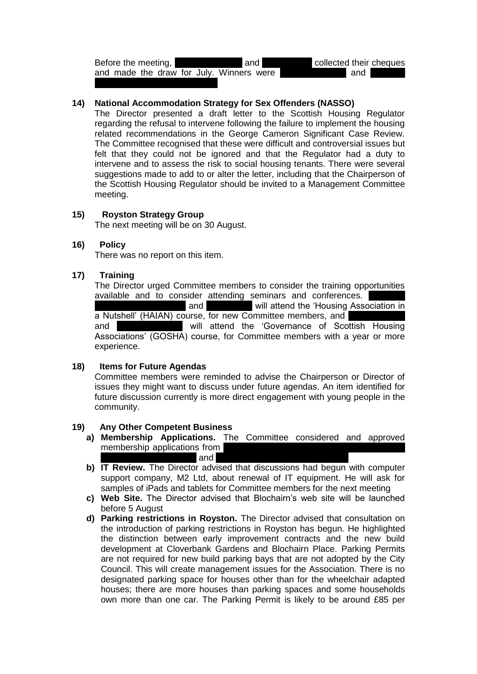Before the meeting, Frank Mulholm and Patricia Fund and Patricia Fund and Patricia Fund and Patricia Fund and Patricia Fund and Patricia Fund and Patricia Fund and Patricia Fund and Patricia Fund and Patricia Fund and Patr and made the draw for July. Winners were **Accord and Christian** and Christian McGrott Ferguson (both Dunolly Street).

### **14) National Accommodation Strategy for Sex Offenders (NASSO)**

The Director presented a draft letter to the Scottish Housing Regulator regarding the refusal to intervene following the failure to implement the housing related recommendations in the George Cameron Significant Case Review. The Committee recognised that these were difficult and controversial issues but felt that they could not be ignored and that the Regulator had a duty to intervene and to assess the risk to social housing tenants. There were several suggestions made to add to or alter the letter, including that the Chairperson of the Scottish Housing Regulator should be invited to a Management Committee meeting.

### **15) Royston Strategy Group**

The next meeting will be on 30 August.

## **16) Policy**

There was no report on this item.

### **17) Training**

The Director urged Committee members to consider the training opportunities available and to consider attending seminars and conferences. and **Eva World attend the 'Housing Association in** a Nutshell' (HAIAN) course, for new Committee members, and and **Denise Domestian Denise Domestian American** will attend the 'Governance of Scottish Housing Associations' (GOSHA) course, for Committee members with a year or more experience.

#### **18) Items for Future Agendas**

Committee members were reminded to advise the Chairperson or Director of issues they might want to discuss under future agendas. An item identified for future discussion currently is more direct engagement with young people in the community.

#### **19) Any Other Competent Business**

- **a) Membership Applications.** The Committee considered and approved membership applications from  $\alpha$  and  $\alpha$
- **b) IT Review.** The Director advised that discussions had begun with computer support company, M2 Ltd, about renewal of IT equipment. He will ask for samples of iPads and tablets for Committee members for the next meeting
- **c) Web Site.** The Director advised that Blochairn's web site will be launched before 5 August
- **d) Parking restrictions in Royston.** The Director advised that consultation on the introduction of parking restrictions in Royston has begun. He highlighted the distinction between early improvement contracts and the new build development at Cloverbank Gardens and Blochairn Place. Parking Permits are not required for new build parking bays that are not adopted by the City Council. This will create management issues for the Association. There is no designated parking space for houses other than for the wheelchair adapted houses; there are more houses than parking spaces and some households own more than one car. The Parking Permit is likely to be around £85 per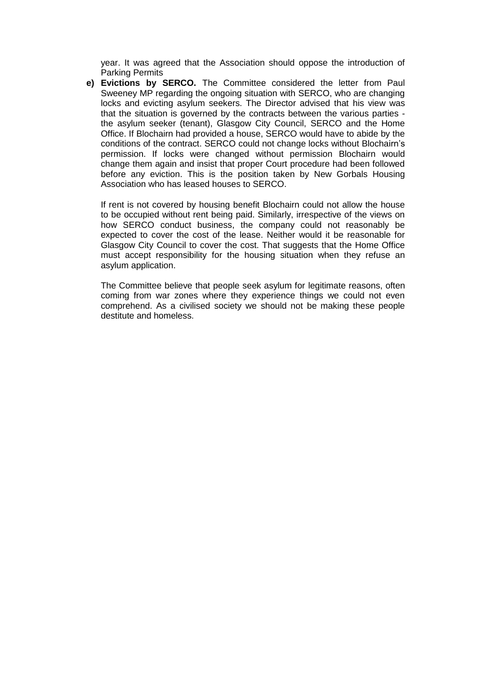year. It was agreed that the Association should oppose the introduction of Parking Permits

**e) Evictions by SERCO.** The Committee considered the letter from Paul Sweeney MP regarding the ongoing situation with SERCO, who are changing locks and evicting asylum seekers. The Director advised that his view was that the situation is governed by the contracts between the various parties the asylum seeker (tenant), Glasgow City Council, SERCO and the Home Office. If Blochairn had provided a house, SERCO would have to abide by the conditions of the contract. SERCO could not change locks without Blochairn's permission. If locks were changed without permission Blochairn would change them again and insist that proper Court procedure had been followed before any eviction. This is the position taken by New Gorbals Housing Association who has leased houses to SERCO.

If rent is not covered by housing benefit Blochairn could not allow the house to be occupied without rent being paid. Similarly, irrespective of the views on how SERCO conduct business, the company could not reasonably be expected to cover the cost of the lease. Neither would it be reasonable for Glasgow City Council to cover the cost. That suggests that the Home Office must accept responsibility for the housing situation when they refuse an asylum application.

The Committee believe that people seek asylum for legitimate reasons, often coming from war zones where they experience things we could not even comprehend. As a civilised society we should not be making these people destitute and homeless.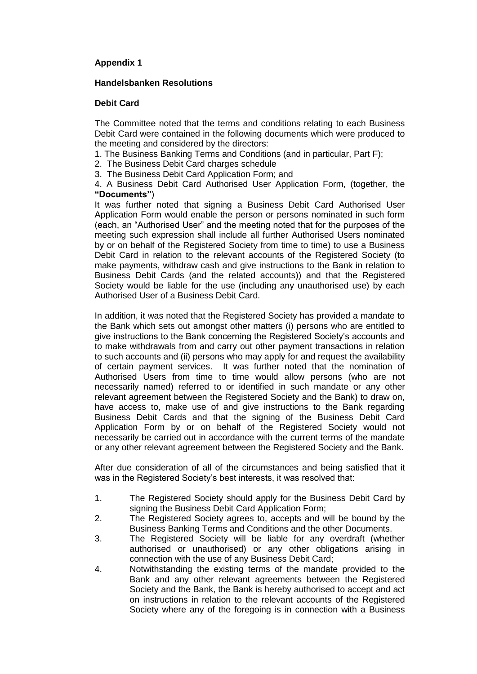# **Appendix 1**

### **Handelsbanken Resolutions**

### **Debit Card**

The Committee noted that the terms and conditions relating to each Business Debit Card were contained in the following documents which were produced to the meeting and considered by the directors:

- 1. The Business Banking Terms and Conditions (and in particular, Part F);
- 2. The Business Debit Card charges schedule
- 3. The Business Debit Card Application Form; and

4. A Business Debit Card Authorised User Application Form, (together, the **"Documents"**)

It was further noted that signing a Business Debit Card Authorised User Application Form would enable the person or persons nominated in such form (each, an "Authorised User" and the meeting noted that for the purposes of the meeting such expression shall include all further Authorised Users nominated by or on behalf of the Registered Society from time to time) to use a Business Debit Card in relation to the relevant accounts of the Registered Society (to make payments, withdraw cash and give instructions to the Bank in relation to Business Debit Cards (and the related accounts)) and that the Registered Society would be liable for the use (including any unauthorised use) by each Authorised User of a Business Debit Card.

In addition, it was noted that the Registered Society has provided a mandate to the Bank which sets out amongst other matters (i) persons who are entitled to give instructions to the Bank concerning the Registered Society's accounts and to make withdrawals from and carry out other payment transactions in relation to such accounts and (ii) persons who may apply for and request the availability of certain payment services. It was further noted that the nomination of Authorised Users from time to time would allow persons (who are not necessarily named) referred to or identified in such mandate or any other relevant agreement between the Registered Society and the Bank) to draw on, have access to, make use of and give instructions to the Bank regarding Business Debit Cards and that the signing of the Business Debit Card Application Form by or on behalf of the Registered Society would not necessarily be carried out in accordance with the current terms of the mandate or any other relevant agreement between the Registered Society and the Bank.

After due consideration of all of the circumstances and being satisfied that it was in the Registered Society's best interests, it was resolved that:

- 1. The Registered Society should apply for the Business Debit Card by signing the Business Debit Card Application Form;
- 2. The Registered Society agrees to, accepts and will be bound by the Business Banking Terms and Conditions and the other Documents.
- 3. The Registered Society will be liable for any overdraft (whether authorised or unauthorised) or any other obligations arising in connection with the use of any Business Debit Card;
- 4. Notwithstanding the existing terms of the mandate provided to the Bank and any other relevant agreements between the Registered Society and the Bank, the Bank is hereby authorised to accept and act on instructions in relation to the relevant accounts of the Registered Society where any of the foregoing is in connection with a Business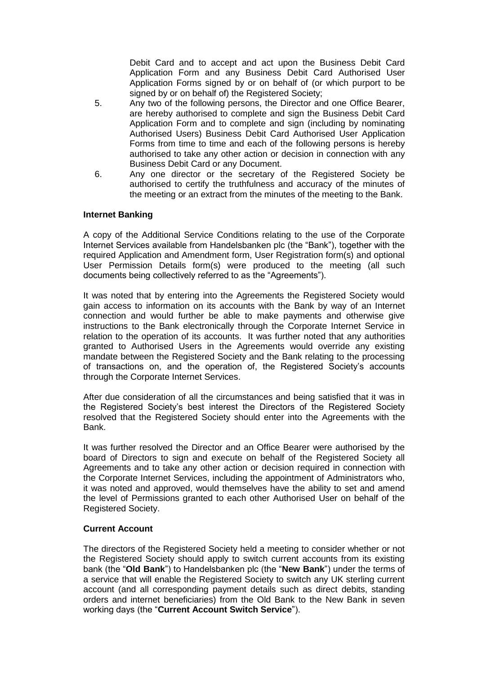Debit Card and to accept and act upon the Business Debit Card Application Form and any Business Debit Card Authorised User Application Forms signed by or on behalf of (or which purport to be signed by or on behalf of) the Registered Society;

- 5. Any two of the following persons, the Director and one Office Bearer, are hereby authorised to complete and sign the Business Debit Card Application Form and to complete and sign (including by nominating Authorised Users) Business Debit Card Authorised User Application Forms from time to time and each of the following persons is hereby authorised to take any other action or decision in connection with any Business Debit Card or any Document.
- 6. Any one director or the secretary of the Registered Society be authorised to certify the truthfulness and accuracy of the minutes of the meeting or an extract from the minutes of the meeting to the Bank.

### **Internet Banking**

A copy of the Additional Service Conditions relating to the use of the Corporate Internet Services available from Handelsbanken plc (the "Bank"), together with the required Application and Amendment form, User Registration form(s) and optional User Permission Details form(s) were produced to the meeting (all such documents being collectively referred to as the "Agreements").

It was noted that by entering into the Agreements the Registered Society would gain access to information on its accounts with the Bank by way of an Internet connection and would further be able to make payments and otherwise give instructions to the Bank electronically through the Corporate Internet Service in relation to the operation of its accounts. It was further noted that any authorities granted to Authorised Users in the Agreements would override any existing mandate between the Registered Society and the Bank relating to the processing of transactions on, and the operation of, the Registered Society's accounts through the Corporate Internet Services.

After due consideration of all the circumstances and being satisfied that it was in the Registered Society's best interest the Directors of the Registered Society resolved that the Registered Society should enter into the Agreements with the Bank.

It was further resolved the Director and an Office Bearer were authorised by the board of Directors to sign and execute on behalf of the Registered Society all Agreements and to take any other action or decision required in connection with the Corporate Internet Services, including the appointment of Administrators who, it was noted and approved, would themselves have the ability to set and amend the level of Permissions granted to each other Authorised User on behalf of the Registered Society.

#### **Current Account**

The directors of the Registered Society held a meeting to consider whether or not the Registered Society should apply to switch current accounts from its existing bank (the "**Old Bank**") to Handelsbanken plc (the "**New Bank**") under the terms of a service that will enable the Registered Society to switch any UK sterling current account (and all corresponding payment details such as direct debits, standing orders and internet beneficiaries) from the Old Bank to the New Bank in seven working days (the "**Current Account Switch Service**").